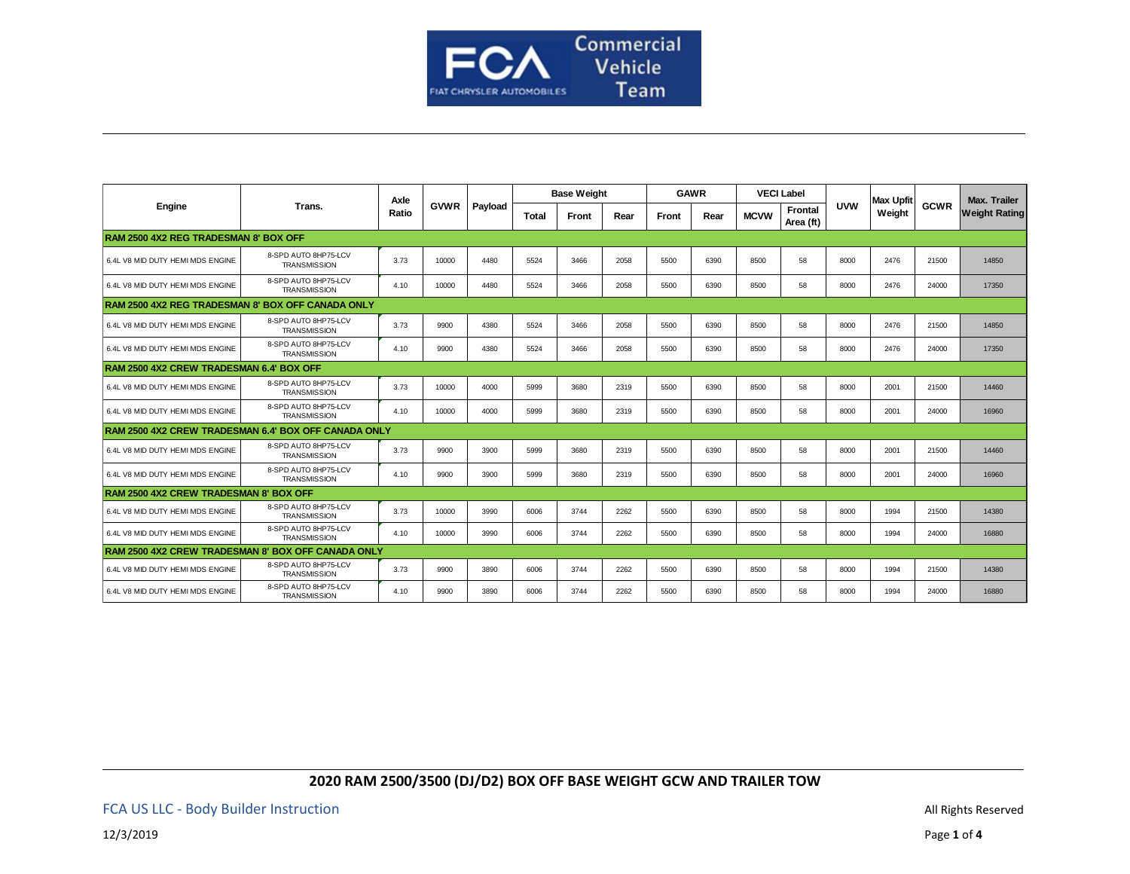

| <b>Engine</b>                                        | Trans.                                      | Axle<br>Ratio | <b>GVWR</b> | Payload | <b>Base Weight</b> |       |      | <b>GAWR</b> |      | <b>VECI Label</b> |                             |            | Max Upfit |             | <b>Max. Trailer</b>  |
|------------------------------------------------------|---------------------------------------------|---------------|-------------|---------|--------------------|-------|------|-------------|------|-------------------|-----------------------------|------------|-----------|-------------|----------------------|
|                                                      |                                             |               |             |         | <b>Total</b>       | Front | Rear | Front       | Rear | <b>MCVW</b>       | <b>Frontal</b><br>Area (ft) | <b>UVW</b> | Weight    | <b>GCWR</b> | <b>Weight Rating</b> |
| RAM 2500 4X2 REG TRADESMAN 8' BOX OFF                |                                             |               |             |         |                    |       |      |             |      |                   |                             |            |           |             |                      |
| 6.4L V8 MID DUTY HEMI MDS ENGINE                     | 8-SPD AUTO 8HP75-LCV<br><b>TRANSMISSION</b> | 3.73          | 10000       | 4480    | 5524               | 3466  | 2058 | 5500        | 6390 | 8500              | 58                          | 8000       | 2476      | 21500       | 14850                |
| 6.4L V8 MID DUTY HEMI MDS ENGINE                     | 8-SPD AUTO 8HP75-LCV<br><b>TRANSMISSION</b> | 4.10          | 10000       | 4480    | 5524               | 3466  | 2058 | 5500        | 6390 | 8500              | 58                          | 8000       | 2476      | 24000       | 17350                |
| RAM 2500 4X2 REG TRADESMAN 8' BOX OFF CANADA ONLY    |                                             |               |             |         |                    |       |      |             |      |                   |                             |            |           |             |                      |
| 6.4L V8 MID DUTY HEMI MDS ENGINE                     | 8-SPD AUTO 8HP75-LCV<br><b>TRANSMISSION</b> | 3.73          | 9900        | 4380    | 5524               | 3466  | 2058 | 5500        | 6390 | 8500              | 58                          | 8000       | 2476      | 21500       | 14850                |
| 6.4L V8 MID DUTY HEMI MDS ENGINE                     | 8-SPD AUTO 8HP75-LCV<br><b>TRANSMISSION</b> | 4.10          | 9900        | 4380    | 5524               | 3466  | 2058 | 5500        | 6390 | 8500              | 58                          | 8000       | 2476      | 24000       | 17350                |
| RAM 2500 4X2 CREW TRADESMAN 6.4' BOX OFF             |                                             |               |             |         |                    |       |      |             |      |                   |                             |            |           |             |                      |
| 6.4L V8 MID DUTY HEMI MDS ENGINE                     | 8-SPD AUTO 8HP75-LCV<br><b>TRANSMISSION</b> | 3.73          | 10000       | 4000    | 5999               | 3680  | 2319 | 5500        | 6390 | 8500              | 58                          | 8000       | 2001      | 21500       | 14460                |
| 6.4L V8 MID DUTY HEMI MDS ENGINE                     | 8-SPD AUTO 8HP75-LCV<br><b>TRANSMISSION</b> | 4.10          | 10000       | 4000    | 5999               | 3680  | 2319 | 5500        | 6390 | 8500              | 58                          | 8000       | 2001      | 24000       | 16960                |
| RAM 2500 4X2 CREW TRADESMAN 6.4' BOX OFF CANADA ONLY |                                             |               |             |         |                    |       |      |             |      |                   |                             |            |           |             |                      |
| 6.4L V8 MID DUTY HEMI MDS ENGINE                     | 8-SPD AUTO 8HP75-LCV<br><b>TRANSMISSION</b> | 3.73          | 9900        | 3900    | 5999               | 3680  | 2319 | 5500        | 6390 | 8500              | 58                          | 8000       | 2001      | 21500       | 14460                |
| 6.4L V8 MID DUTY HEMI MDS ENGINE                     | 8-SPD AUTO 8HP75-LCV<br><b>TRANSMISSION</b> | 4.10          | 9900        | 3900    | 5999               | 3680  | 2319 | 5500        | 6390 | 8500              | 58                          | 8000       | 2001      | 24000       | 16960                |
| <b>RAM 2500 4X2 CREW TRADESMAN 8' BOX OFF</b>        |                                             |               |             |         |                    |       |      |             |      |                   |                             |            |           |             |                      |
| 6.4L V8 MID DUTY HEMI MDS ENGINE                     | 8-SPD AUTO 8HP75-LCV<br><b>TRANSMISSION</b> | 3.73          | 10000       | 3990    | 6006               | 3744  | 2262 | 5500        | 6390 | 8500              | 58                          | 8000       | 1994      | 21500       | 14380                |
| 6.4L V8 MID DUTY HEMI MDS ENGINE                     | 8-SPD AUTO 8HP75-LCV<br><b>TRANSMISSION</b> | 4.10          | 10000       | 3990    | 6006               | 3744  | 2262 | 5500        | 6390 | 8500              | 58                          | 8000       | 1994      | 24000       | 16880                |
| RAM 2500 4X2 CREW TRADESMAN 8' BOX OFF CANADA ONLY   |                                             |               |             |         |                    |       |      |             |      |                   |                             |            |           |             |                      |
| 6.4L V8 MID DUTY HEMI MDS ENGINE                     | 8-SPD AUTO 8HP75-LCV<br><b>TRANSMISSION</b> | 3.73          | 9900        | 3890    | 6006               | 3744  | 2262 | 5500        | 6390 | 8500              | 58                          | 8000       | 1994      | 21500       | 14380                |
| 6.4L V8 MID DUTY HEMI MDS ENGINE                     | 8-SPD AUTO 8HP75-LCV<br><b>TRANSMISSION</b> | 4.10          | 9900        | 3890    | 6006               | 3744  | 2262 | 5500        | 6390 | 8500              | 58                          | 8000       | 1994      | 24000       | 16880                |

# **2020 RAM 2500/3500 (DJ/D2) BOX OFF BASE WEIGHT GCW AND TRAILER TOW**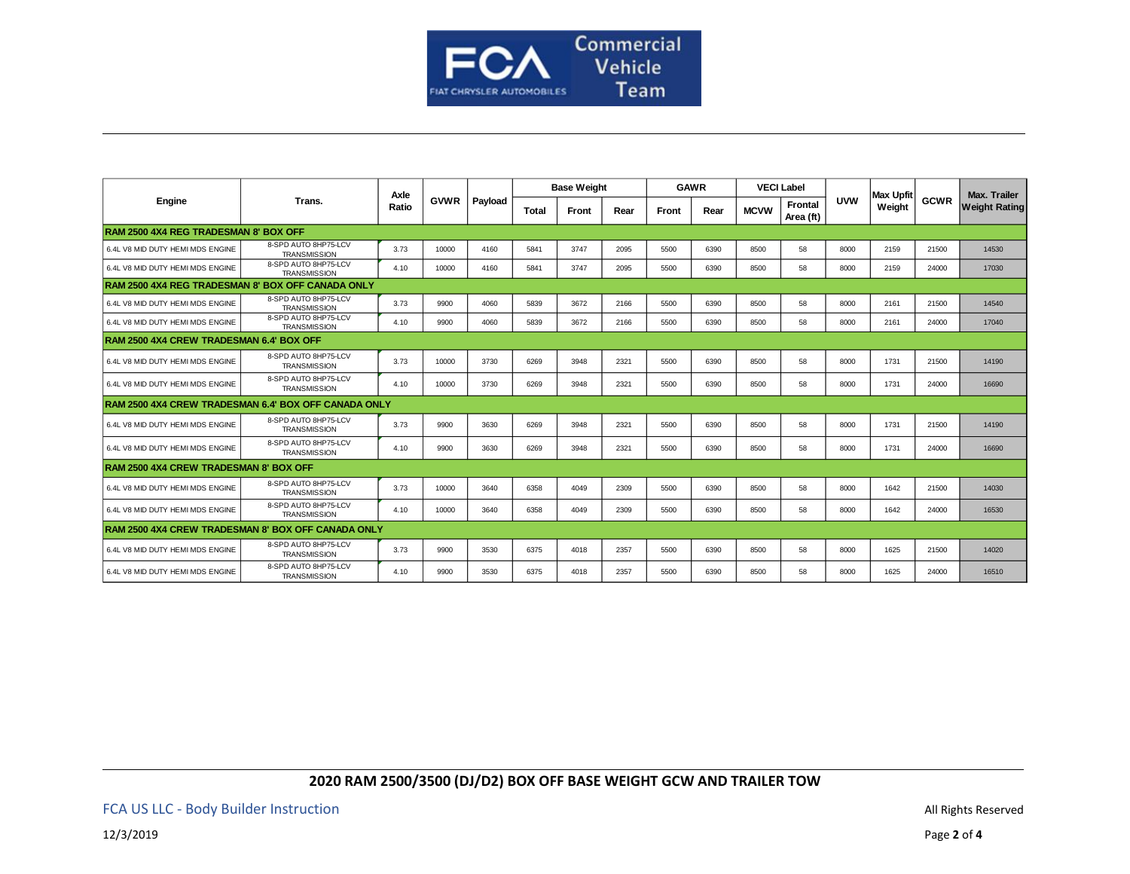

| Engine                                               | Trans.                                      | Axle<br>Ratio | <b>GVWR</b> | Payload | <b>Base Weight</b> |       |      | <b>GAWR</b> |      |             | <b>VECI Label</b>           |            | Max Upfit |             | <b>Max. Trailer</b>  |
|------------------------------------------------------|---------------------------------------------|---------------|-------------|---------|--------------------|-------|------|-------------|------|-------------|-----------------------------|------------|-----------|-------------|----------------------|
|                                                      |                                             |               |             |         | <b>Total</b>       | Front | Rear | Front       | Rear | <b>MCVW</b> | <b>Frontal</b><br>Area (ft) | <b>UVW</b> | Weight    | <b>GCWR</b> | <b>Weight Rating</b> |
| RAM 2500 4X4 REG TRADESMAN 8' BOX OFF                |                                             |               |             |         |                    |       |      |             |      |             |                             |            |           |             |                      |
| 6.4L V8 MID DUTY HEMI MDS ENGINE                     | 8-SPD AUTO 8HP75-LCV<br><b>TRANSMISSION</b> | 3.73          | 10000       | 4160    | 5841               | 3747  | 2095 | 5500        | 6390 | 8500        | 58                          | 8000       | 2159      | 21500       | 14530                |
| 6.4L V8 MID DUTY HEMI MDS ENGINE                     | 8-SPD AUTO 8HP75-LCV<br><b>TRANSMISSION</b> | 4.10          | 10000       | 4160    | 5841               | 3747  | 2095 | 5500        | 6390 | 8500        | 58                          | 8000       | 2159      | 24000       | 17030                |
| RAM 2500 4X4 REG TRADESMAN 8' BOX OFF CANADA ONLY    |                                             |               |             |         |                    |       |      |             |      |             |                             |            |           |             |                      |
| 6.4L V8 MID DUTY HEMI MDS ENGINE                     | 8-SPD AUTO 8HP75-LCV<br><b>TRANSMISSION</b> | 3.73          | 9900        | 4060    | 5839               | 3672  | 2166 | 5500        | 6390 | 8500        | 58                          | 8000       | 2161      | 21500       | 14540                |
| 6.4L V8 MID DUTY HEMI MDS ENGINE                     | 8-SPD AUTO 8HP75-LCV<br><b>TRANSMISSION</b> | 4.10          | 9900        | 4060    | 5839               | 3672  | 2166 | 5500        | 6390 | 8500        | 58                          | 8000       | 2161      | 24000       | 17040                |
| RAM 2500 4X4 CREW TRADESMAN 6.4' BOX OFF             |                                             |               |             |         |                    |       |      |             |      |             |                             |            |           |             |                      |
| 6.4L V8 MID DUTY HEMI MDS ENGINE                     | 8-SPD AUTO 8HP75-LCV<br><b>TRANSMISSION</b> | 3.73          | 10000       | 3730    | 6269               | 3948  | 2321 | 5500        | 6390 | 8500        | 58                          | 8000       | 1731      | 21500       | 14190                |
| 6.4L V8 MID DUTY HEMI MDS ENGINE                     | 8-SPD AUTO 8HP75-LCV<br><b>TRANSMISSION</b> | 4.10          | 10000       | 3730    | 6269               | 3948  | 2321 | 5500        | 6390 | 8500        | 58                          | 8000       | 1731      | 24000       | 16690                |
| RAM 2500 4X4 CREW TRADESMAN 6.4' BOX OFF CANADA ONLY |                                             |               |             |         |                    |       |      |             |      |             |                             |            |           |             |                      |
| 6.4L V8 MID DUTY HEMI MDS ENGINE                     | 8-SPD AUTO 8HP75-LCV<br><b>TRANSMISSION</b> | 3.73          | 9900        | 3630    | 6269               | 3948  | 2321 | 5500        | 6390 | 8500        | 58                          | 8000       | 1731      | 21500       | 14190                |
| 6.4L V8 MID DUTY HEMI MDS ENGINE                     | 8-SPD AUTO 8HP75-LCV<br><b>TRANSMISSION</b> | 4.10          | 9900        | 3630    | 6269               | 3948  | 2321 | 5500        | 6390 | 8500        | 58                          | 8000       | 1731      | 24000       | 16690                |
| <b>RAM 2500 4X4 CREW TRADESMAN 8' BOX OFF</b>        |                                             |               |             |         |                    |       |      |             |      |             |                             |            |           |             |                      |
| 6.4L V8 MID DUTY HEMI MDS ENGINE                     | 8-SPD AUTO 8HP75-LCV<br><b>TRANSMISSION</b> | 3.73          | 10000       | 3640    | 6358               | 4049  | 2309 | 5500        | 6390 | 8500        | 58                          | 8000       | 1642      | 21500       | 14030                |
| 6.4L V8 MID DUTY HEMI MDS ENGINE                     | 8-SPD AUTO 8HP75-LCV<br><b>TRANSMISSION</b> | 4.10          | 10000       | 3640    | 6358               | 4049  | 2309 | 5500        | 6390 | 8500        | 58                          | 8000       | 1642      | 24000       | 16530                |
| RAM 2500 4X4 CREW TRADESMAN 8' BOX OFF CANADA ONLY   |                                             |               |             |         |                    |       |      |             |      |             |                             |            |           |             |                      |
| 6.4L V8 MID DUTY HEMI MDS ENGINE                     | 8-SPD AUTO 8HP75-LCV<br><b>TRANSMISSION</b> | 3.73          | 9900        | 3530    | 6375               | 4018  | 2357 | 5500        | 6390 | 8500        | 58                          | 8000       | 1625      | 21500       | 14020                |
| 6.4L V8 MID DUTY HEMI MDS ENGINE                     | 8-SPD AUTO 8HP75-LCV<br><b>TRANSMISSION</b> | 4.10          | 9900        | 3530    | 6375               | 4018  | 2357 | 5500        | 6390 | 8500        | 58                          | 8000       | 1625      | 24000       | 16510                |

## **2020 RAM 2500/3500 (DJ/D2) BOX OFF BASE WEIGHT GCW AND TRAILER TOW**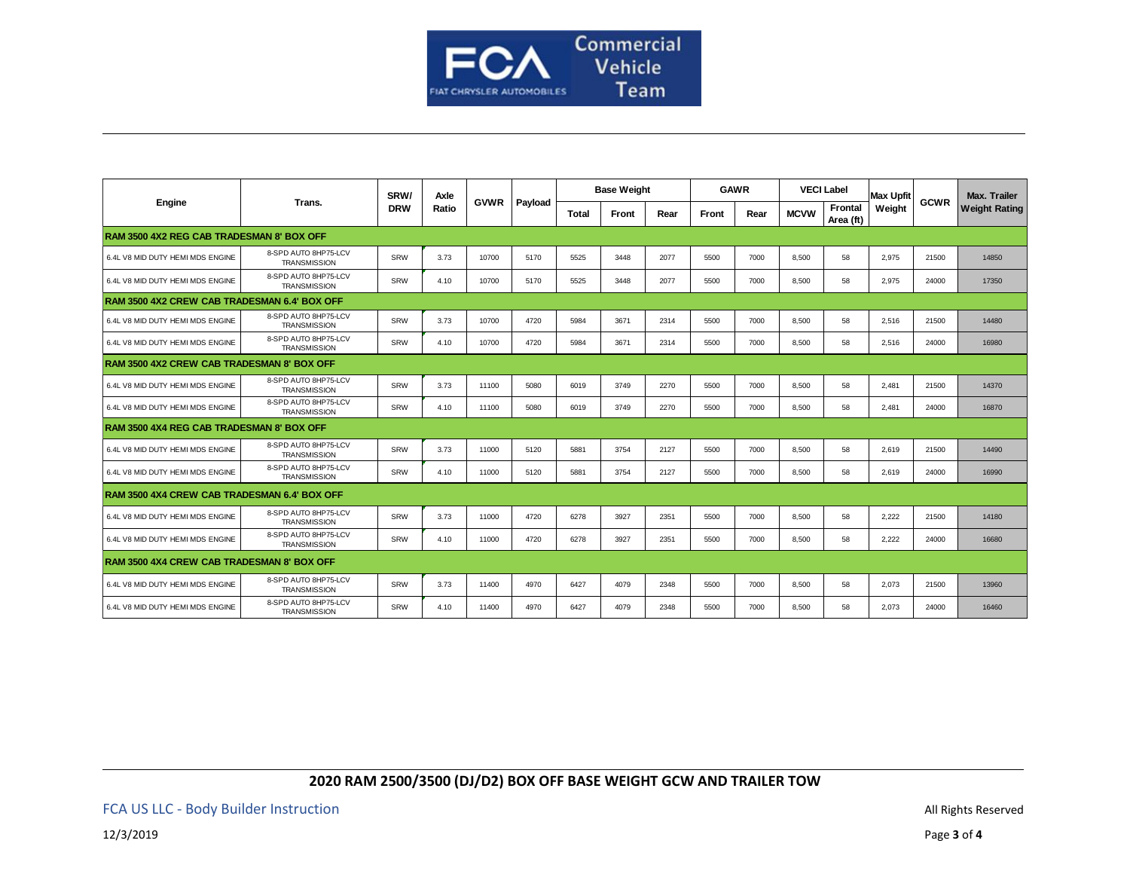

| Engine                                            | Trans.                                      | SRW/<br><b>DRW</b> | Axle<br>Ratio | <b>GVWR</b> | Payload | <b>Base Weight</b> |       |      | <b>GAWR</b> |      |             | <b>VECI Label</b>           | <b>Max Upfit</b> |             | <b>Max. Trailer</b>  |
|---------------------------------------------------|---------------------------------------------|--------------------|---------------|-------------|---------|--------------------|-------|------|-------------|------|-------------|-----------------------------|------------------|-------------|----------------------|
|                                                   |                                             |                    |               |             |         | Total              | Front | Rear | Front       | Rear | <b>MCVW</b> | <b>Frontal</b><br>Area (ft) | Weight           | <b>GCWR</b> | <b>Weight Rating</b> |
| RAM 3500 4X2 REG CAB TRADESMAN 8' BOX OFF         |                                             |                    |               |             |         |                    |       |      |             |      |             |                             |                  |             |                      |
| 6.4L V8 MID DUTY HEMI MDS ENGINE                  | 8-SPD AUTO 8HP75-LCV<br><b>TRANSMISSION</b> | SRW                | 3.73          | 10700       | 5170    | 5525               | 3448  | 2077 | 5500        | 7000 | 8.500       | 58                          | 2,975            | 21500       | 14850                |
| 6.4L V8 MID DUTY HEMI MDS ENGINE                  | 8-SPD AUTO 8HP75-LCV<br><b>TRANSMISSION</b> | SRW                | 4.10          | 10700       | 5170    | 5525               | 3448  | 2077 | 5500        | 7000 | 8.500       | 58                          | 2.975            | 24000       | 17350                |
| RAM 3500 4X2 CREW CAB TRADESMAN 6.4' BOX OFF      |                                             |                    |               |             |         |                    |       |      |             |      |             |                             |                  |             |                      |
| 6.4L V8 MID DUTY HEMI MDS ENGINE                  | 8-SPD AUTO 8HP75-LCV<br><b>TRANSMISSION</b> | SRW                | 3.73          | 10700       | 4720    | 5984               | 3671  | 2314 | 5500        | 7000 | 8,500       | 58                          | 2,516            | 21500       | 14480                |
| 6.4L V8 MID DUTY HEMI MDS ENGINE                  | 8-SPD AUTO 8HP75-LCV<br><b>TRANSMISSION</b> | SRW                | 4.10          | 10700       | 4720    | 5984               | 3671  | 2314 | 5500        | 7000 | 8.500       | 58                          | 2.516            | 24000       | 16980                |
| <b>RAM 3500 4X2 CREW CAB TRADESMAN 8' BOX OFF</b> |                                             |                    |               |             |         |                    |       |      |             |      |             |                             |                  |             |                      |
| 6.4L V8 MID DUTY HEMI MDS ENGINE                  | 8-SPD AUTO 8HP75-LCV<br><b>TRANSMISSION</b> | SRW                | 3.73          | 11100       | 5080    | 6019               | 3749  | 2270 | 5500        | 7000 | 8.500       | 58                          | 2.481            | 21500       | 14370                |
| 6.4L V8 MID DUTY HEMI MDS ENGINE                  | 8-SPD AUTO 8HP75-LCV<br><b>TRANSMISSION</b> | SRW                | 4.10          | 11100       | 5080    | 6019               | 3749  | 2270 | 5500        | 7000 | 8,500       | 58                          | 2,481            | 24000       | 16870                |
| <b>RAM 3500 4X4 REG CAB TRADESMAN 8' BOX OFF</b>  |                                             |                    |               |             |         |                    |       |      |             |      |             |                             |                  |             |                      |
| 6.4L V8 MID DUTY HEMI MDS ENGINE                  | 8-SPD AUTO 8HP75-LCV<br><b>TRANSMISSION</b> | SRW                | 3.73          | 11000       | 5120    | 5881               | 3754  | 2127 | 5500        | 7000 | 8,500       | 58                          | 2,619            | 21500       | 14490                |
| 6.4L V8 MID DUTY HEMI MDS ENGINE                  | 8-SPD AUTO 8HP75-LCV<br><b>TRANSMISSION</b> | SRW                | 4.10          | 11000       | 5120    | 5881               | 3754  | 2127 | 5500        | 7000 | 8.500       | 58                          | 2.619            | 24000       | 16990                |
| RAM 3500 4X4 CREW CAB TRADESMAN 6.4' BOX OFF      |                                             |                    |               |             |         |                    |       |      |             |      |             |                             |                  |             |                      |
| 6.4L V8 MID DUTY HEMI MDS ENGINE                  | 8-SPD AUTO 8HP75-LCV<br><b>TRANSMISSION</b> | SRW                | 3.73          | 11000       | 4720    | 6278               | 3927  | 2351 | 5500        | 7000 | 8,500       | 58                          | 2,222            | 21500       | 14180                |
| 6.4L V8 MID DUTY HEMI MDS ENGINE                  | 8-SPD AUTO 8HP75-LCV<br><b>TRANSMISSION</b> | SRW                | 4.10          | 11000       | 4720    | 6278               | 3927  | 2351 | 5500        | 7000 | 8,500       | 58                          | 2,222            | 24000       | 16680                |
| <b>RAM 3500 4X4 CREW CAB TRADESMAN 8' BOX OFF</b> |                                             |                    |               |             |         |                    |       |      |             |      |             |                             |                  |             |                      |
| 6.4L V8 MID DUTY HEMI MDS ENGINE                  | 8-SPD AUTO 8HP75-LCV<br><b>TRANSMISSION</b> | SRW                | 3.73          | 11400       | 4970    | 6427               | 4079  | 2348 | 5500        | 7000 | 8.500       | 58                          | 2.073            | 21500       | 13960                |
| 6.4L V8 MID DUTY HEMI MDS ENGINE                  | 8-SPD AUTO 8HP75-LCV<br><b>TRANSMISSION</b> | SRW                | 4.10          | 11400       | 4970    | 6427               | 4079  | 2348 | 5500        | 7000 | 8.500       | 58                          | 2.073            | 24000       | 16460                |